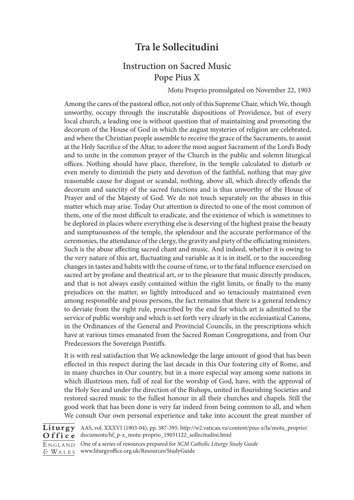# **Tra le Sollecitudini**

# Instruction on Sacred Music Pope Pius X

Motu Proprio promulgated on November 22, 1903

Among the cares of the pastoral office, not only of this Supreme Chair, which We, though unworthy, occupy through the inscrutable dispositions of Providence, but of every local church, a leading one is without question that of maintaining and promoting the decorum of the House of God in which the august mysteries of religion are celebrated, and where the Christian people assemble to receive the grace of the Sacraments, to assist at the Holy Sacrifice of the Altar, to adore the most august Sacrament of the Lord's Body and to unite in the common prayer of the Church in the public and solemn liturgical offices. Nothing should have place, therefore, in the temple calculated to disturb or even merely to diminish the piety and devotion of the faithful, nothing that may give reasonable cause for disgust or scandal, nothing, above all, which directly offends the decorum and sanctity of the sacred functions and is thus unworthy of the House of Prayer and of the Majesty of God. We do not touch separately on the abuses in this matter which may arise. Today Our attention is directed to one of the most common of them, one of the most difficult to eradicate, and the existence of which is sometimes to be deplored in places where everything else is deserving of the highest praise the beauty and sumptuousness of the temple, the splendour and the accurate performance of the ceremonies, the attendance of the clergy, the gravity and piety of the officiating ministers. Such is the abuse affecting sacred chant and music. And indeed, whether it is owing to the very nature of this art, fluctuating and variable as it is in itself, or to the succeeding changes in tastes and habits with the course of time, or to the fatal influence exercised on sacred art by profane and theatrical art, or to the pleasure that music directly produces, and that is not always easily contained within the right limits, or finally to the many prejudices on the matter, so lightly introduced and so tenaciously maintained even among responsible and pious persons, the fact remains that there is a general tendency to deviate from the right rule, prescribed by the end for which art is admitted to the service of public worship and which is set forth very clearly in the ecclesiastical Canons, in the Ordinances of the General and Provincial Councils, in the prescriptions which have at various times emanated from the Sacred Roman Congregations, and from Our Predecessors the Sovereign Pontiffs.

It is with real satisfaction that We acknowledge the large amount of good that has been effected in this respect during the last decade in this Our fostering city of Rome, and in many churches in Our country, but in a more especial way among some nations in which illustrious men, full of zeal for the worship of God, have, with the approval of the Holy See and under the direction of the Bishops, united in flourishing Societies and restored sacred music to the fullest honour in all their churches and chapels. Still the good work that has been done is very far indeed from being common to all, and when We consult Our own personal experience and take into account the great number of

**O f f i c e** *&* WA <sup>L</sup> <sup>E</sup> <sup>S</sup>

AAS, vol. XXXVI (1903-04), pp. 387-395. http://w2.vatican.va/content/pius-x/la/motu\_proprio/ **Liturgy** documents/hf\_p-x\_motu-proprio\_19031122\_sollecitudini.html

One of a series of resources prepared for *SCM Catholic Liturgy Study Guide* E <sup>N</sup> <sup>G</sup> <sup>L</sup> <sup>A</sup> <sup>N</sup> <sup>D</sup> www.liturgyoffice.org.uk/Resources/StudyGuide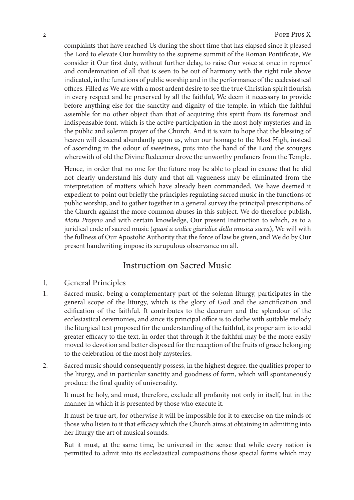complaints that have reached Us during the short time that has elapsed since it pleased the Lord to elevate Our humility to the supreme summit of the Roman Pontificate, We consider it Our first duty, without further delay, to raise Our voice at once in reproof and condemnation of all that is seen to be out of harmony with the right rule above indicated, in the functions of public worship and in the performance of the ecclesiastical offices. Filled as We are with a most ardent desire to see the true Christian spirit flourish in every respect and be preserved by all the faithful, We deem it necessary to provide before anything else for the sanctity and dignity of the temple, in which the faithful assemble for no other object than that of acquiring this spirit from its foremost and indispensable font, which is the active participation in the most holy mysteries and in the public and solemn prayer of the Church. And it is vain to hope that the blessing of heaven will descend abundantly upon us, when our homage to the Most High, instead of ascending in the odour of sweetness, puts into the hand of the Lord the scourges wherewith of old the Divine Redeemer drove the unworthy profaners from the Temple.

Hence, in order that no one for the future may be able to plead in excuse that he did not clearly understand his duty and that all vagueness may be eliminated from the interpretation of matters which have already been commanded, We have deemed it expedient to point out briefly the principles regulating sacred music in the functions of public worship, and to gather together in a general survey the principal prescriptions of the Church against the more common abuses in this subject. We do therefore publish, *Motu Proprio* and with certain knowledge, Our present Instruction to which, as to a juridical code of sacred music (*quasi a codice giuridice della musica sacra*), We will with the fullness of Our Apostolic Authority that the force of law be given, and We do by Our present handwriting impose its scrupulous observance on all.

## Instruction on Sacred Music

#### I. General Principles

- 1. Sacred music, being a complementary part of the solemn liturgy, participates in the general scope of the liturgy, which is the glory of God and the sanctification and edification of the faithful. It contributes to the decorum and the splendour of the ecclesiastical ceremonies, and since its principal office is to clothe with suitable melody the liturgical text proposed for the understanding of the faithful, its proper aim is to add greater efficacy to the text, in order that through it the faithful may be the more easily moved to devotion and better disposed for the reception of the fruits of grace belonging to the celebration of the most holy mysteries.
- 2. Sacred music should consequently possess, in the highest degree, the qualities proper to the liturgy, and in particular sanctity and goodness of form, which will spontaneously produce the final quality of universality.

It must be holy, and must, therefore, exclude all profanity not only in itself, but in the manner in which it is presented by those who execute it.

It must be true art, for otherwise it will be impossible for it to exercise on the minds of those who listen to it that efficacy which the Church aims at obtaining in admitting into her liturgy the art of musical sounds.

But it must, at the same time, be universal in the sense that while every nation is permitted to admit into its ecclesiastical compositions those special forms which may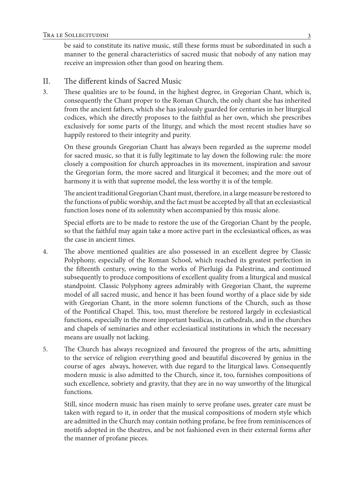be said to constitute its native music, still these forms must be subordinated in such a manner to the general characteristics of sacred music that nobody of any nation may receive an impression other than good on hearing them.

#### II. The different kinds of Sacred Music

3. These qualities are to be found, in the highest degree, in Gregorian Chant, which is, consequently the Chant proper to the Roman Church, the only chant she has inherited from the ancient fathers, which she has jealously guarded for centuries in her liturgical codices, which she directly proposes to the faithful as her own, which she prescribes exclusively for some parts of the liturgy, and which the most recent studies have so happily restored to their integrity and purity.

On these grounds Gregorian Chant has always been regarded as the supreme model for sacred music, so that it is fully legitimate to lay down the following rule: the more closely a composition for church approaches in its movement, inspiration and savour the Gregorian form, the more sacred and liturgical it becomes; and the more out of harmony it is with that supreme model, the less worthy it is of the temple.

The ancient traditional Gregorian Chant must, therefore, in a large measure be restored to the functions of public worship, and the fact must be accepted by all that an ecclesiastical function loses none of its solemnity when accompanied by this music alone.

Special efforts are to be made to restore the use of the Gregorian Chant by the people, so that the faithful may again take a more active part in the ecclesiastical offices, as was the case in ancient times.

- 4. The above mentioned qualities are also possessed in an excellent degree by Classic Polyphony, especially of the Roman School, which reached its greatest perfection in the fifteenth century, owing to the works of Pierluigi da Palestrina, and continued subsequently to produce compositions of excellent quality from a liturgical and musical standpoint. Classic Polyphony agrees admirably with Gregorian Chant, the supreme model of all sacred music, and hence it has been found worthy of a place side by side with Gregorian Chant, in the more solemn functions of the Church, such as those of the Pontifical Chapel. This, too, must therefore be restored largely in ecclesiastical functions, especially in the more important basilicas, in cathedrals, and in the churches and chapels of seminaries and other ecclesiastical institutions in which the necessary means are usually not lacking.
- 5. The Church has always recognized and favoured the progress of the arts, admitting to the service of religion everything good and beautiful discovered by genius in the course of ages always, however, with due regard to the liturgical laws. Consequently modern music is also admitted to the Church, since it, too, furnishes compositions of such excellence, sobriety and gravity, that they are in no way unworthy of the liturgical functions.

Still, since modern music has risen mainly to serve profane uses, greater care must be taken with regard to it, in order that the musical compositions of modern style which are admitted in the Church may contain nothing profane, be free from reminiscences of motifs adopted in the theatres, and be not fashioned even in their external forms after the manner of profane pieces.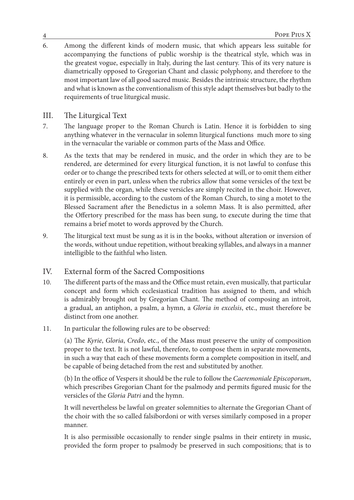- 6. Among the different kinds of modern music, that which appears less suitable for accompanying the functions of public worship is the theatrical style, which was in the greatest vogue, especially in Italy, during the last century. This of its very nature is diametrically opposed to Gregorian Chant and classic polyphony, and therefore to the most important law of all good sacred music. Besides the intrinsic structure, the rhythm and what is known as the conventionalism of this style adapt themselves but badly to the requirements of true liturgical music.
- III. The Liturgical Text
- 7. The language proper to the Roman Church is Latin. Hence it is forbidden to sing anything whatever in the vernacular in solemn liturgical functions much more to sing in the vernacular the variable or common parts of the Mass and Office.
- 8. As the texts that may be rendered in music, and the order in which they are to be rendered, are determined for every liturgical function, it is not lawful to confuse this order or to change the prescribed texts for others selected at will, or to omit them either entirely or even in part, unless when the rubrics allow that some versicles of the text be supplied with the organ, while these versicles are simply recited in the choir. However, it is permissible, according to the custom of the Roman Church, to sing a motet to the Blessed Sacrament after the Benedictus in a solemn Mass. It is also permitted, after the Offertory prescribed for the mass has been sung, to execute during the time that remains a brief motet to words approved by the Church.
- 9. The liturgical text must be sung as it is in the books, without alteration or inversion of the words, without undue repetition, without breaking syllables, and always in a manner intelligible to the faithful who listen.
- IV. External form of the Sacred Compositions
- 10. The different parts of the mass and the Office must retain, even musically, that particular concept and form which ecclesiastical tradition has assigned to them, and which is admirably brought out by Gregorian Chant. The method of composing an introit, a gradual, an antiphon, a psalm, a hymn, a *Gloria in excelsis*, etc., must therefore be distinct from one another.
- 11. In particular the following rules are to be observed:

(a) The *Kyrie*, *Gloria*, *Credo*, etc., of the Mass must preserve the unity of composition proper to the text. It is not lawful, therefore, to compose them in separate movements, in such a way that each of these movements form a complete composition in itself, and be capable of being detached from the rest and substituted by another.

(b) In the office of Vespers it should be the rule to follow the *Caeremoniale Episcoporum*, which prescribes Gregorian Chant for the psalmody and permits figured music for the versicles of the *Gloria Patri* and the hymn.

It will nevertheless be lawful on greater solemnities to alternate the Gregorian Chant of the choir with the so called falsibordoni or with verses similarly composed in a proper manner.

It is also permissible occasionally to render single psalms in their entirety in music, provided the form proper to psalmody be preserved in such compositions; that is to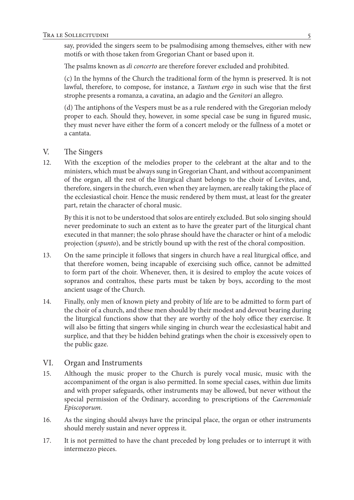say, provided the singers seem to be psalmodising among themselves, either with new motifs or with those taken from Gregorian Chant or based upon it.

The psalms known as *di concerto* are therefore forever excluded and prohibited.

(c) In the hymns of the Church the traditional form of the hymn is preserved. It is not lawful, therefore, to compose, for instance, a *Tantum ergo* in such wise that the first strophe presents a romanza, a cavatina, an adagio and the *Genitori* an allegro.

(d) The antiphons of the Vespers must be as a rule rendered with the Gregorian melody proper to each. Should they, however, in some special case be sung in figured music, they must never have either the form of a concert melody or the fullness of a motet or a cantata.

- V. The Singers
- 12. With the exception of the melodies proper to the celebrant at the altar and to the ministers, which must be always sung in Gregorian Chant, and without accompaniment of the organ, all the rest of the liturgical chant belongs to the choir of Levites, and, therefore, singers in the church, even when they are laymen, are really taking the place of the ecclesiastical choir. Hence the music rendered by them must, at least for the greater part, retain the character of choral music.

By this it is not to be understood that solos are entirely excluded. But solo singing should never predominate to such an extent as to have the greater part of the liturgical chant executed in that manner; the solo phrase should have the character or hint of a melodic projection (*spunto*), and be strictly bound up with the rest of the choral composition.

- 13. On the same principle it follows that singers in church have a real liturgical office, and that therefore women, being incapable of exercising such office, cannot be admitted to form part of the choir. Whenever, then, it is desired to employ the acute voices of sopranos and contraltos, these parts must be taken by boys, according to the most ancient usage of the Church.
- 14. Finally, only men of known piety and probity of life are to be admitted to form part of the choir of a church, and these men should by their modest and devout bearing during the liturgical functions show that they are worthy of the holy office they exercise. It will also be fitting that singers while singing in church wear the ecclesiastical habit and surplice, and that they be hidden behind gratings when the choir is excessively open to the public gaze.

## VI. Organ and Instruments

- 15. Although the music proper to the Church is purely vocal music, music with the accompaniment of the organ is also permitted. In some special cases, within due limits and with proper safeguards, other instruments may be allowed, but never without the special permission of the Ordinary, according to prescriptions of the *Caeremoniale Episcoporum*.
- 16. As the singing should always have the principal place, the organ or other instruments should merely sustain and never oppress it.
- 17. It is not permitted to have the chant preceded by long preludes or to interrupt it with intermezzo pieces.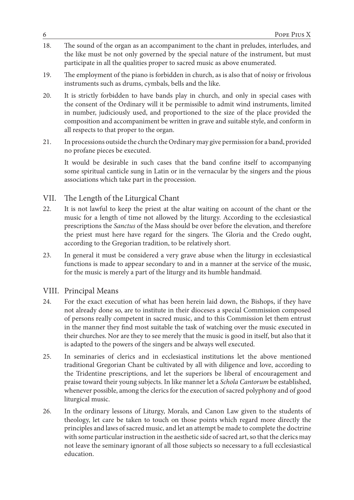- 18. The sound of the organ as an accompaniment to the chant in preludes, interludes, and the like must be not only governed by the special nature of the instrument, but must participate in all the qualities proper to sacred music as above enumerated.
- 19. The employment of the piano is forbidden in church, as is also that of noisy or frivolous instruments such as drums, cymbals, bells and the like.
- 20. It is strictly forbidden to have bands play in church, and only in special cases with the consent of the Ordinary will it be permissible to admit wind instruments, limited in number, judiciously used, and proportioned to the size of the place provided the composition and accompaniment be written in grave and suitable style, and conform in all respects to that proper to the organ.
- 21. In processions outside the church the Ordinary may give permission for a band, provided no profane pieces be executed.

It would be desirable in such cases that the band confine itself to accompanying some spiritual canticle sung in Latin or in the vernacular by the singers and the pious associations which take part in the procession.

### VII. The Length of the Liturgical Chant

- 22. It is not lawful to keep the priest at the altar waiting on account of the chant or the music for a length of time not allowed by the liturgy. According to the ecclesiastical prescriptions the *Sanctus* of the Mass should be over before the elevation, and therefore the priest must here have regard for the singers. The Gloria and the Credo ought, according to the Gregorian tradition, to be relatively short.
- 23. In general it must be considered a very grave abuse when the liturgy in ecclesiastical functions is made to appear secondary to and in a manner at the service of the music, for the music is merely a part of the liturgy and its humble handmaid.

### VIII. Principal Means

- 24. For the exact execution of what has been herein laid down, the Bishops, if they have not already done so, are to institute in their dioceses a special Commission composed of persons really competent in sacred music, and to this Commission let them entrust in the manner they find most suitable the task of watching over the music executed in their churches. Nor are they to see merely that the music is good in itself, but also that it is adapted to the powers of the singers and be always well executed.
- 25. In seminaries of clerics and in ecclesiastical institutions let the above mentioned traditional Gregorian Chant be cultivated by all with diligence and love, according to the Tridentine prescriptions, and let the superiors be liberal of encouragement and praise toward their young subjects. In like manner let a *Schola Cantorum* be established, whenever possible, among the clerics for the execution of sacred polyphony and of good liturgical music.
- 26. In the ordinary lessons of Liturgy, Morals, and Canon Law given to the students of theology, let care be taken to touch on those points which regard more directly the principles and laws of sacred music, and let an attempt be made to complete the doctrine with some particular instruction in the aesthetic side of sacred art, so that the clerics may not leave the seminary ignorant of all those subjects so necessary to a full ecclesiastical education.